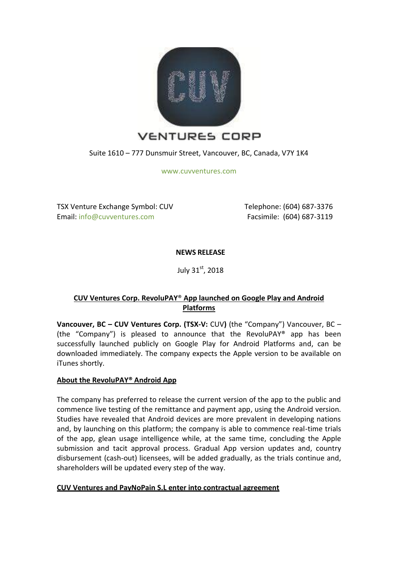

Suite 1610 – 777 Dunsmuir Street, Vancouver, BC, Canada, V7Y 1K4

[www.cuvventures.com](http://www.cuvventures.com/)

TSX Venture Exchange Symbol: CUV Email[: info@cuvventures.com](mailto:info@cuvventures.com)

 Telephone: (604) 687-3376 Facsimile: (604) 687-3119

**NEWS RELEASE**

July  $31<sup>st</sup>$ , 2018

# **CUV Ventures Corp. RevoluPAY**® **App launched on Google Play and Android Platforms**

**Vancouver, BC – CUV Ventures Corp. (TSX-V:** [CUV](http://web.tmxmoney.com/quote.php?qm_symbol=CUV)**)** (the "Company") Vancouver, BC – (the "Company") is pleased to announce that the RevoluPAY® app has been successfully launched publicly on Google Play for Android Platforms and, can be downloaded immediately. The company expects the Apple version to be available on iTunes shortly.

## **About the RevoluPAY® Android App**

The company has preferred to release the current version of the app to the public and commence live testing of the remittance and payment app, using the Android version. Studies have revealed that Android devices are more prevalent in developing nations and, by launching on this platform; the company is able to commence real-time trials of the app, glean usage intelligence while, at the same time, concluding the Apple submission and tacit approval process. Gradual App version updates and, country disbursement (cash-out) licensees, will be added gradually, as the trials continue and, shareholders will be updated every step of the way.

## **CUV Ventures and PayNoPain S.L enter into contractual agreement**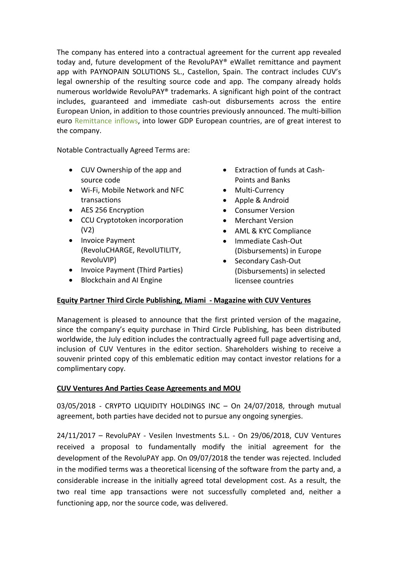The company has entered into a contractual agreement for the current app revealed today and, future development of the RevoluPAY® eWallet remittance and payment app with PAYNOPAIN SOLUTIONS SL., Castellon, Spain. The contract includes CUV's legal ownership of the resulting source code and app. The company already holds numerous worldwide RevoluPAY® trademarks. A significant high point of the contract includes, guaranteed and immediate cash-out disbursements across the entire European Union, in addition to those countries previously announced. The multi-billion euro [Remittance inflows,](http://www.worldbank.org/en/news/feature/2013/10/02/migration-and-remittance-flows-in-europe-and-central-asia-recent-trends-and-outlook-2013-2016) into lower GDP European countries, are of great interest to the company.

Notable Contractually Agreed Terms are:

- CUV Ownership of the app and source code
- Wi-Fi, Mobile Network and NFC transactions
- AES 256 Encryption
- CCU Cryptotoken incorporation (V2)
- Invoice Payment (RevoluCHARGE, RevolUTILITY, RevoluVIP)
- Invoice Payment (Third Parties)
- Blockchain and AI Engine
- Extraction of funds at Cash-Points and Banks
- Multi-Currency
- Apple & Android
- Consumer Version
- Merchant Version
- AML & KYC Compliance
- Immediate Cash-Out (Disbursements) in Europe
- Secondary Cash-Out (Disbursements) in selected licensee countries

## **Equity Partner Third Circle Publishing, Miami - Magazine with CUV Ventures**

Management is pleased to announce that the first printed version of the magazine, since the company's equity purchase in Third Circle Publishing, has been distributed worldwide, the July edition includes the contractually agreed full page advertising and, inclusion of CUV Ventures in the editor section. Shareholders wishing to receive a souvenir printed copy of this emblematic edition may contact investor relations for a complimentary copy.

## **CUV Ventures And Parties Cease Agreements and MOU**

03/05/2018 - CRYPTO LIQUIDITY HOLDINGS INC – On 24/07/2018, through mutual agreement, both parties have decided not to pursue any ongoing synergies.

24/11/2017 – RevoluPAY - Vesilen Investments S.L. - On 29/06/2018, CUV Ventures received a proposal to fundamentally modify the initial agreement for the development of the RevoluPAY app. On 09/07/2018 the tender was rejected. Included in the modified terms was a theoretical licensing of the software from the party and, a considerable increase in the initially agreed total development cost. As a result, the two real time app transactions were not successfully completed and, neither a functioning app, nor the source code, was delivered.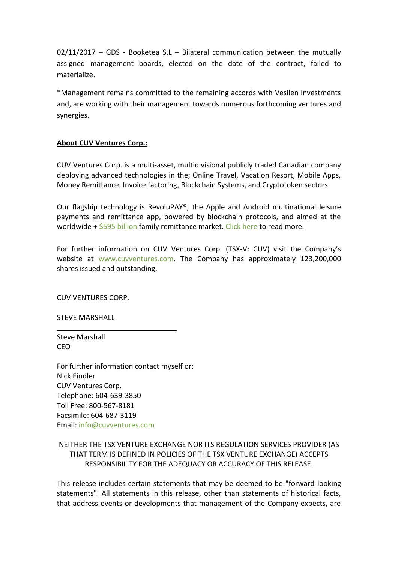02/11/2017 – GDS - Booketea S.L – Bilateral communication between the mutually assigned management boards, elected on the date of the contract, failed to materialize.

\*Management remains committed to the remaining accords with Vesilen Investments and, are working with their management towards numerous forthcoming ventures and synergies.

## **About CUV Ventures Corp.:**

CUV Ventures Corp. is a multi-asset, multidivisional publicly traded Canadian company deploying advanced technologies in the; Online Travel, Vacation Resort, Mobile Apps, Money Remittance, Invoice factoring, Blockchain Systems, and Cryptotoken sectors.

Our flagship technology is RevoluPAY®, the Apple and Android multinational leisure payments and remittance app, powered by blockchain protocols, and aimed at the worldwide + [\\$595 billion](http://www.worldbank.org/en/topic/migrationremittancesdiasporaissues/brief/migration-remittances-data) family remittance market. [Click here](https://cuvventures.com/about/about-cuv-ventures) to read more.

For further information on CUV Ventures Corp. (TSX-V: CUV) visit the Company's website at [www.cuvventures.com.](http://www.cuvventures.com/) The Company has approximately 123,200,000 shares issued and outstanding.

CUV VENTURES CORP.

STEVE MARSHALL

Steve Marshall CEO

For further information contact myself or: Nick Findler CUV Ventures Corp. Telephone: 604-639-3850 Toll Free: 800-567-8181 Facsimile: 604-687-3119 Email[: info@cuvventures.com](mailto:info@cuvventures.com)

 $\overline{\phantom{a}}$  , where  $\overline{\phantom{a}}$  , where  $\overline{\phantom{a}}$  ,  $\overline{\phantom{a}}$  ,  $\overline{\phantom{a}}$  ,  $\overline{\phantom{a}}$  ,  $\overline{\phantom{a}}$  ,  $\overline{\phantom{a}}$  ,  $\overline{\phantom{a}}$  ,  $\overline{\phantom{a}}$  ,  $\overline{\phantom{a}}$  ,  $\overline{\phantom{a}}$  ,  $\overline{\phantom{a}}$  ,  $\overline{\phantom{a}}$  ,  $\overline{\phantom{a}}$  ,

NEITHER THE TSX VENTURE EXCHANGE NOR ITS REGULATION SERVICES PROVIDER (AS THAT TERM IS DEFINED IN POLICIES OF THE TSX VENTURE EXCHANGE) ACCEPTS RESPONSIBILITY FOR THE ADEQUACY OR ACCURACY OF THIS RELEASE.

This release includes certain statements that may be deemed to be "forward-looking statements". All statements in this release, other than statements of historical facts, that address events or developments that management of the Company expects, are